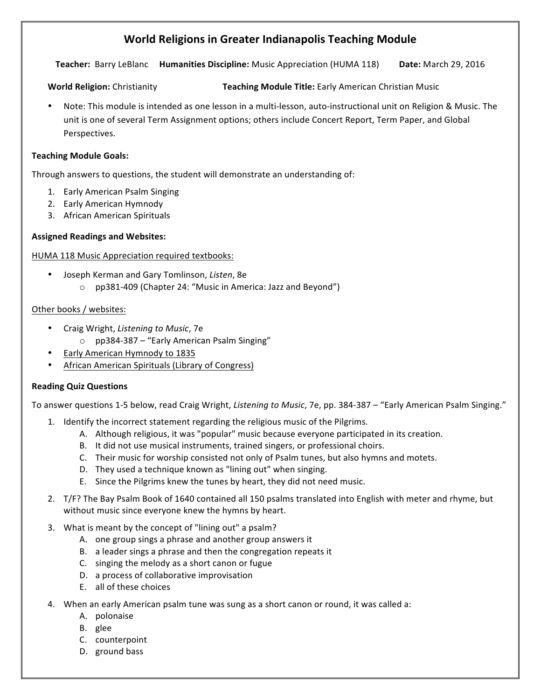# **World Religions in Greater Indianapolis Teaching Module**

**Teacher:** Barry LeBlanc **Humanities Discipline:** Music Appreciation (HUMA 118) Date: March 29, 2016

**World Religion:** Christianity **Teaching Module Title:** Early American Christian Music

Note: This module is intended as one lesson in a multi-lesson, auto-instructional unit on Religion & Music. The unit is one of several Term Assignment options; others include Concert Report, Term Paper, and Global Perspectives.

## **Teaching Module Goals:**

Through answers to questions, the student will demonstrate an understanding of:

- 1. Early American Psalm Singing
- 2. Early American Hymnody
- 3. African American Spirituals

## **Assigned Readings and Websites:**

## HUMA 118 Music Appreciation required textbooks:

• Joseph Kerman and Gary Tomlinson, *Listen*, 8e  $\circ$  pp381-409 (Chapter 24: "Music in America: Jazz and Beyond")

#### Other books / websites:

- Craig Wright, *Listening to Music*, 7e
	- $\circ$  pp384-387 "Early American Psalm Singing"
- Early American Hymnody to 1835
- African American Spirituals (Library of Congress)

#### **Reading Quiz Questions**

To answer questions 1-5 below, read Craig Wright, *Listening to Music*, 7e, pp. 384-387 – "Early American Psalm Singing."

- 1. Identify the incorrect statement regarding the religious music of the Pilgrims.
	- A. Although religious, it was "popular" music because everyone participated in its creation.
	- B. It did not use musical instruments, trained singers, or professional choirs.
	- C. Their music for worship consisted not only of Psalm tunes, but also hymns and motets.
	- D. They used a technique known as "lining out" when singing.
	- E. Since the Pilgrims knew the tunes by heart, they did not need music.
- 2. T/F? The Bay Psalm Book of 1640 contained all 150 psalms translated into English with meter and rhyme, but without music since everyone knew the hymns by heart.
- 3. What is meant by the concept of "lining out" a psalm?
	- A. one group sings a phrase and another group answers it
	- B. a leader sings a phrase and then the congregation repeats it
	- C. singing the melody as a short canon or fugue
	- D. a process of collaborative improvisation
	- E. all of these choices
- 4. When an early American psalm tune was sung as a short canon or round, it was called a:
	- A. polonaise
	- B. glee
	- C. counterpoint
	- D. ground bass